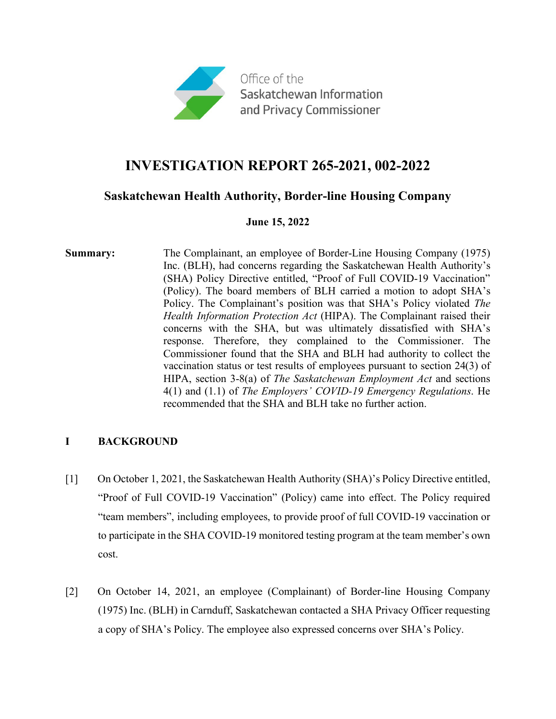

# **INVESTIGATION REPORT 265-2021, 002-2022**

### **Saskatchewan Health Authority, Border-line Housing Company**

#### **June 15, 2022**

**Summary:** The Complainant, an employee of Border-Line Housing Company (1975) Inc. (BLH), had concerns regarding the Saskatchewan Health Authority's (SHA) Policy Directive entitled, "Proof of Full COVID-19 Vaccination" (Policy). The board members of BLH carried a motion to adopt SHA's Policy. The Complainant's position was that SHA's Policy violated *The Health Information Protection Act* (HIPA). The Complainant raised their concerns with the SHA, but was ultimately dissatisfied with SHA's response. Therefore, they complained to the Commissioner. The Commissioner found that the SHA and BLH had authority to collect the vaccination status or test results of employees pursuant to section 24(3) of HIPA, section 3-8(a) of *The Saskatchewan Employment Act* and sections 4(1) and (1.1) of *The Employers' COVID-19 Emergency Regulations*. He recommended that the SHA and BLH take no further action.

#### **I BACKGROUND**

- [1] On October 1, 2021, the Saskatchewan Health Authority (SHA)'s Policy Directive entitled, "Proof of Full COVID-19 Vaccination" (Policy) came into effect. The Policy required "team members", including employees, to provide proof of full COVID-19 vaccination or to participate in the SHA COVID-19 monitored testing program at the team member's own cost.
- [2] On October 14, 2021, an employee (Complainant) of Border-line Housing Company (1975) Inc. (BLH) in Carnduff, Saskatchewan contacted a SHA Privacy Officer requesting a copy of SHA's Policy. The employee also expressed concerns over SHA's Policy.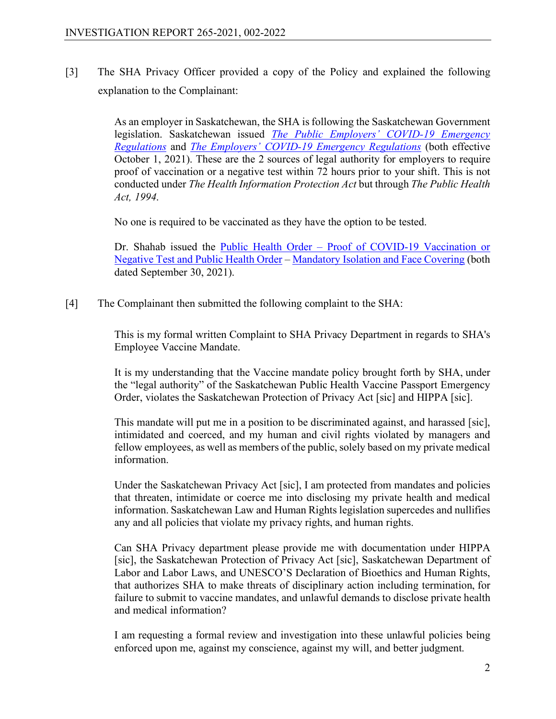[3] The SHA Privacy Officer provided a copy of the Policy and explained the following explanation to the Complainant:

> As an employer in Saskatchewan, the SHA is following the Saskatchewan Government legislation. Saskatchewan issued *[The Public Employers' COVID-19 Emergency](https://publications.saskatchewan.ca/#/products/114952)  [Regulations](https://publications.saskatchewan.ca/#/products/114952)* and *[The Employers' COVID-19 Emergency Regulations](https://publications.saskatchewan.ca/#/products/114953)* (both effective October 1, 2021). These are the 2 sources of legal authority for employers to require proof of vaccination or a negative test within 72 hours prior to your shift. This is not conducted under *The Health Information Protection Act* but through *The Public Health Act, 1994*.

No one is required to be vaccinated as they have the option to be tested.

Dr. Shahab issued the Public Health Order – [Proof of COVID-19 Vaccination or](https://www.saskatchewan.ca/government/health-care-administration-and-provider-resources/treatment-procedures-and-guidelines/emerging-public-health-issues/2019-novel-coronavirus/public-health-measures/public-health-orders)  [Negative Test and Public Health Order](https://www.saskatchewan.ca/government/health-care-administration-and-provider-resources/treatment-procedures-and-guidelines/emerging-public-health-issues/2019-novel-coronavirus/public-health-measures/public-health-orders) – [Mandatory Isolation and Face Covering](https://www.saskatchewan.ca/government/health-care-administration-and-provider-resources/treatment-procedures-and-guidelines/emerging-public-health-issues/2019-novel-coronavirus/public-health-measures/public-health-orders) (both dated September 30, 2021).

[4] The Complainant then submitted the following complaint to the SHA:

This is my formal written Complaint to SHA Privacy Department in regards to SHA's Employee Vaccine Mandate.

It is my understanding that the Vaccine mandate policy brought forth by SHA, under the "legal authority" of the Saskatchewan Public Health Vaccine Passport Emergency Order, violates the Saskatchewan Protection of Privacy Act [sic] and HIPPA [sic].

This mandate will put me in a position to be discriminated against, and harassed [sic], intimidated and coerced, and my human and civil rights violated by managers and fellow employees, as well as members of the public, solely based on my private medical information.

Under the Saskatchewan Privacy Act [sic], I am protected from mandates and policies that threaten, intimidate or coerce me into disclosing my private health and medical information. Saskatchewan Law and Human Rights legislation supercedes and nullifies any and all policies that violate my privacy rights, and human rights.

Can SHA Privacy department please provide me with documentation under HIPPA [sic], the Saskatchewan Protection of Privacy Act [sic], Saskatchewan Department of Labor and Labor Laws, and UNESCO'S Declaration of Bioethics and Human Rights, that authorizes SHA to make threats of disciplinary action including termination, for failure to submit to vaccine mandates, and unlawful demands to disclose private health and medical information?

I am requesting a formal review and investigation into these unlawful policies being enforced upon me, against my conscience, against my will, and better judgment.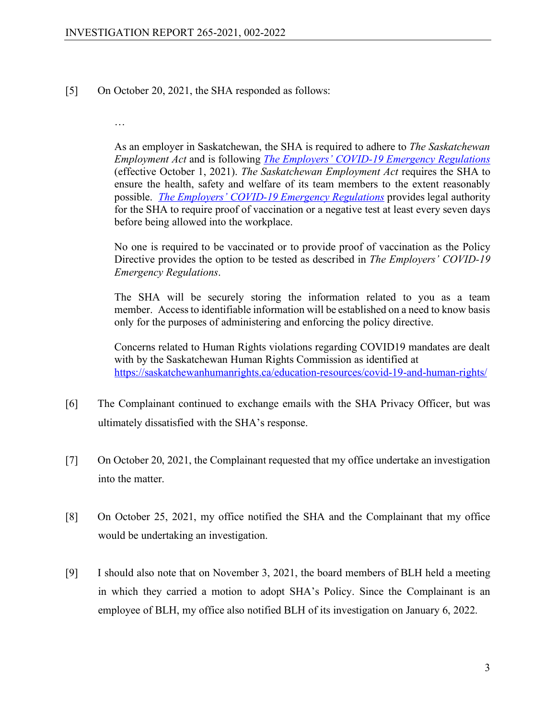[5] On October 20, 2021, the SHA responded as follows:

…

As an employer in Saskatchewan, the SHA is required to adhere to *The Saskatchewan Employment Act* and is following *[The Employers' COVID-19 Emergency Regulations](https://publications.saskatchewan.ca/#/products/114953)* (effective October 1, 2021). *The Saskatchewan Employment Act* requires the SHA to ensure the health, safety and welfare of its team members to the extent reasonably possible. *[The Employers' COVID-19 Emergency Regulations](https://publications.saskatchewan.ca/#/products/114953)* provides legal authority for the SHA to require proof of vaccination or a negative test at least every seven days before being allowed into the workplace.

No one is required to be vaccinated or to provide proof of vaccination as the Policy Directive provides the option to be tested as described in *The Employers' COVID-19 Emergency Regulations*.

The SHA will be securely storing the information related to you as a team member. Access to identifiable information will be established on a need to know basis only for the purposes of administering and enforcing the policy directive.

Concerns related to Human Rights violations regarding COVID19 mandates are dealt with by the Saskatchewan Human Rights Commission as identified at <https://saskatchewanhumanrights.ca/education-resources/covid-19-and-human-rights/>

- [6] The Complainant continued to exchange emails with the SHA Privacy Officer, but was ultimately dissatisfied with the SHA's response.
- [7] On October 20, 2021, the Complainant requested that my office undertake an investigation into the matter.
- [8] On October 25, 2021, my office notified the SHA and the Complainant that my office would be undertaking an investigation.
- [9] I should also note that on November 3, 2021, the board members of BLH held a meeting in which they carried a motion to adopt SHA's Policy. Since the Complainant is an employee of BLH, my office also notified BLH of its investigation on January 6, 2022.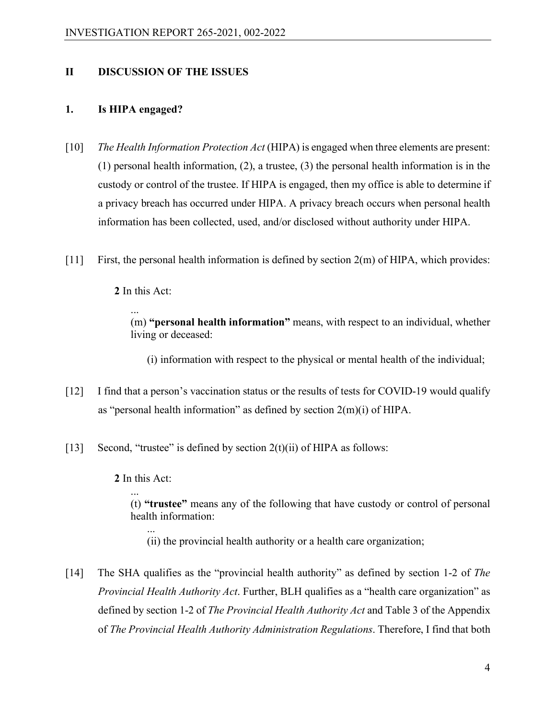#### **II DISCUSSION OF THE ISSUES**

#### **1. Is HIPA engaged?**

- [10] *The Health Information Protection Act* (HIPA) is engaged when three elements are present: (1) personal health information, (2), a trustee, (3) the personal health information is in the custody or control of the trustee. If HIPA is engaged, then my office is able to determine if a privacy breach has occurred under HIPA. A privacy breach occurs when personal health information has been collected, used, and/or disclosed without authority under HIPA.
- [11] First, the personal health information is defined by section 2(m) of HIPA, which provides:

**2** In this Act:

... (m) **"personal health information"** means, with respect to an individual, whether living or deceased:

(i) information with respect to the physical or mental health of the individual;

- [12] I find that a person's vaccination status or the results of tests for COVID-19 would qualify as "personal health information" as defined by section 2(m)(i) of HIPA.
- [13] Second, "trustee" is defined by section  $2(t)(ii)$  of HIPA as follows:

**2** In this Act:

... (t) **"trustee"** means any of the following that have custody or control of personal health information:

... (ii) the provincial health authority or a health care organization;

[14] The SHA qualifies as the "provincial health authority" as defined by section 1-2 of *The Provincial Health Authority Act*. Further, BLH qualifies as a "health care organization" as defined by section 1-2 of *The Provincial Health Authority Act* and Table 3 of the Appendix of *The Provincial Health Authority Administration Regulations*. Therefore, I find that both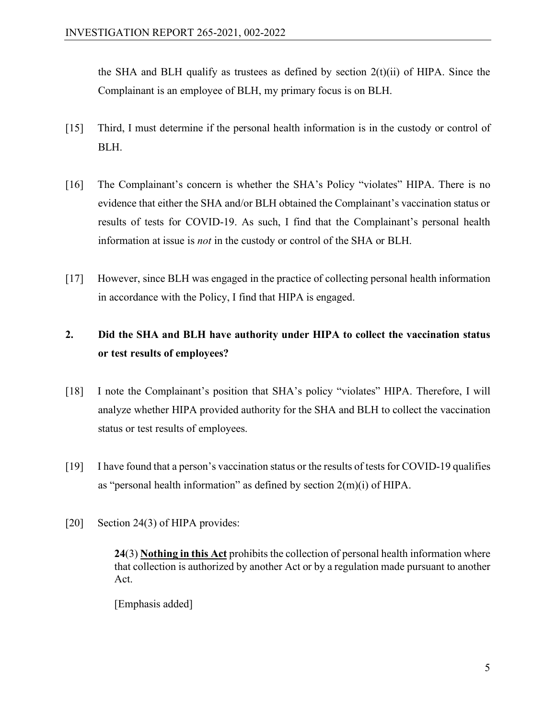the SHA and BLH qualify as trustees as defined by section  $2(t)(ii)$  of HIPA. Since the Complainant is an employee of BLH, my primary focus is on BLH.

- [15] Third, I must determine if the personal health information is in the custody or control of BLH.
- [16] The Complainant's concern is whether the SHA's Policy "violates" HIPA. There is no evidence that either the SHA and/or BLH obtained the Complainant's vaccination status or results of tests for COVID-19. As such, I find that the Complainant's personal health information at issue is *not* in the custody or control of the SHA or BLH.
- [17] However, since BLH was engaged in the practice of collecting personal health information in accordance with the Policy, I find that HIPA is engaged.

## **2. Did the SHA and BLH have authority under HIPA to collect the vaccination status or test results of employees?**

- [18] I note the Complainant's position that SHA's policy "violates" HIPA. Therefore, I will analyze whether HIPA provided authority for the SHA and BLH to collect the vaccination status or test results of employees.
- $[19]$  I have found that a person's vaccination status or the results of tests for COVID-19 qualifies as "personal health information" as defined by section  $2(m)(i)$  of HIPA.
- [20] Section 24(3) of HIPA provides:

**24**(3) **Nothing in this Act** prohibits the collection of personal health information where that collection is authorized by another Act or by a regulation made pursuant to another Act.

[Emphasis added]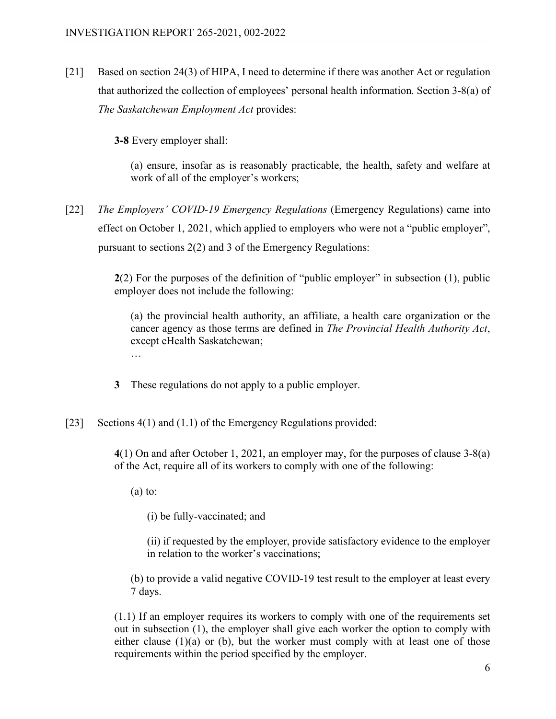[21] Based on section 24(3) of HIPA, I need to determine if there was another Act or regulation that authorized the collection of employees' personal health information. Section 3-8(a) of *The Saskatchewan Employment Act* provides:

**3‑8** Every employer shall:

(a) ensure, insofar as is reasonably practicable, the health, safety and welfare at work of all of the employer's workers;

[22] *The Employers' COVID-19 Emergency Regulations* (Emergency Regulations) came into effect on October 1, 2021, which applied to employers who were not a "public employer", pursuant to sections 2(2) and 3 of the Emergency Regulations:

> **2**(2) For the purposes of the definition of "public employer" in subsection (1), public employer does not include the following:

(a) the provincial health authority, an affiliate, a health care organization or the cancer agency as those terms are defined in *The Provincial Health Authority Act*, except eHealth Saskatchewan; …

**3** These regulations do not apply to a public employer.

[23] Sections 4(1) and (1.1) of the Emergency Regulations provided:

**4**(1) On and after October 1, 2021, an employer may, for the purposes of clause 3-8(a) of the Act, require all of its workers to comply with one of the following:

 $(a)$  to:

(i) be fully-vaccinated; and

(ii) if requested by the employer, provide satisfactory evidence to the employer in relation to the worker's vaccinations;

(b) to provide a valid negative COVID-19 test result to the employer at least every 7 days.

(1.1) If an employer requires its workers to comply with one of the requirements set out in subsection (1), the employer shall give each worker the option to comply with either clause  $(1)(a)$  or  $(b)$ , but the worker must comply with at least one of those requirements within the period specified by the employer.